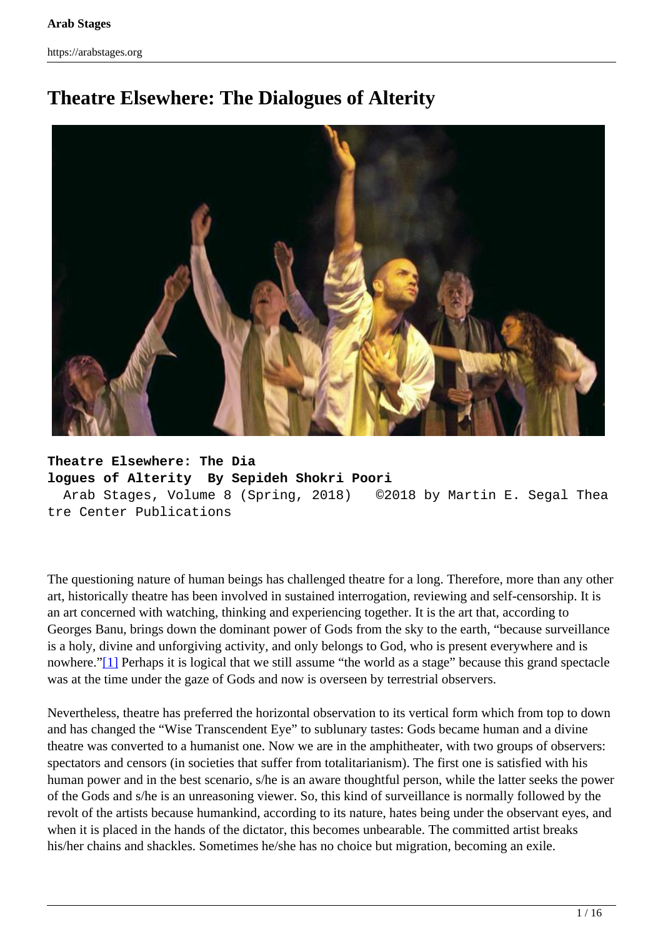# <span id="page-0-0"></span>**Theatre Elsewhere: The Dialogues of Alterity**



**Theatre Elsewhere: The Dia logues of Alterity By Sepideh Shokri Poori** Arab Stages, Volume 8 (Spring, 2018) ©2018 by Martin E. Segal Thea tre Center Publications

The questioning nature of human beings has challenged theatre for a long. Therefore, more than any other art, historically theatre has been involved in sustained interrogation, reviewing and self-censorship. It is an art concerned with watching, thinking and experiencing together. It is the art that, according to Georges Banu, brings down the dominant power of Gods from the sky to the earth, "because surveillance is a holy, divine and unforgiving activity, and only belongs to God, who is present everywhere and is nowhere.["\[1\]](#page-0-0) Perhaps it is logical that we still assume "the world as a stage" because this grand spectacle was at the time under the gaze of Gods and now is overseen by terrestrial observers.

Nevertheless, theatre has preferred the horizontal observation to its vertical form which from top to down and has changed the "Wise Transcendent Eye" to sublunary tastes: Gods became human and a divine theatre was converted to a humanist one. Now we are in the amphitheater, with two groups of observers: spectators and censors (in societies that suffer from totalitarianism). The first one is satisfied with his human power and in the best scenario, s/he is an aware thoughtful person, while the latter seeks the power of the Gods and s/he is an unreasoning viewer. So, this kind of surveillance is normally followed by the revolt of the artists because humankind, according to its nature, hates being under the observant eyes, and when it is placed in the hands of the dictator, this becomes unbearable. The committed artist breaks his/her chains and shackles. Sometimes he/she has no choice but migration, becoming an exile.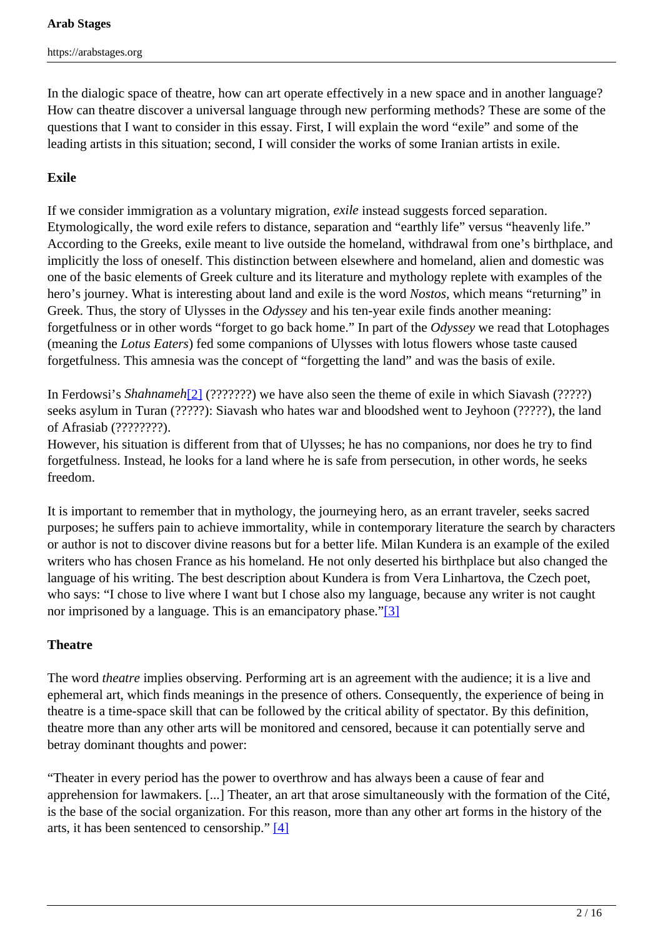In the dialogic space of theatre, how can art operate effectively in a new space and in another language? How can theatre discover a universal language through new performing methods? These are some of the questions that I want to consider in this essay. First, I will explain the word "exile" and some of the leading artists in this situation; second, I will consider the works of some Iranian artists in exile.

# **Exile**

If we consider immigration as a voluntary migration, *exile* instead suggests forced separation. Etymologically, the word exile refers to distance, separation and "earthly life" versus "heavenly life." According to the Greeks, exile meant to live outside the homeland, withdrawal from one's birthplace, and implicitly the loss of oneself. This distinction between elsewhere and homeland, alien and domestic was one of the basic elements of Greek culture and its literature and mythology replete with examples of the hero's journey. What is interesting about land and exile is the word *Nostos,* which means "returning" in Greek. Thus, the story of Ulysses in the *Odyssey* and his ten-year exile finds another meaning: forgetfulness or in other words "forget to go back home." In part of the *Odyssey* we read that Lotophages (meaning the *Lotus Eaters*) fed some companions of Ulysses with lotus flowers whose taste caused forgetfulness. This amnesia was the concept of "forgetting the land" and was the basis of exile.

In Ferdowsi's *Shahnameh*[2] (???????) we have also seen the theme of exile in which Siavash (?????) seeks asylum in Turan (?????): Siavash who hates war and bloodshed went to Jeyhoon (?????), the land of Afrasiab (????????).

However, his situation is different from that of Ulysses; he has no companions, nor does he try to find forgetfulness. Instead, he looks for a land where he is safe from persecution, in other words, he seeks freedom.

It is important to remember that in mythology, the journeying hero, as an errant traveler, seeks sacred purposes; he suffers pain to achieve immortality, while in contemporary literature the search by characters or author is not to discover divine reasons but for a better life. Milan Kundera is an example of the exiled writers who has chosen France as his homeland. He not only deserted his birthplace but also changed the language of his writing. The best description about Kundera is from Vera Linhartova, the Czech poet, who says: "I chose to live where I want but I chose also my language, because any writer is not caught nor imprisoned by a language. This is an emancipatory phase."[3]

# **Theatre**

The word *theatre* implies observing. Performing art is an agreement with the audience; it is a live and ephemeral art, which finds meanings in the presence of others. Consequently, the experience of being in theatre is a time-space skill that can be followed by the critical ability of spectator. By this definition, theatre more than any other arts will be monitored and censored, because it can potentially serve and betray dominant thoughts and power:

"Theater in every period has the power to overthrow and has always been a cause of fear and apprehension for lawmakers. [...] Theater, an art that arose simultaneously with the formation of the Cité, is the base of the social organization. For this reason, more than any other art forms in the history of the arts, it has been sentenced to censorship." [4]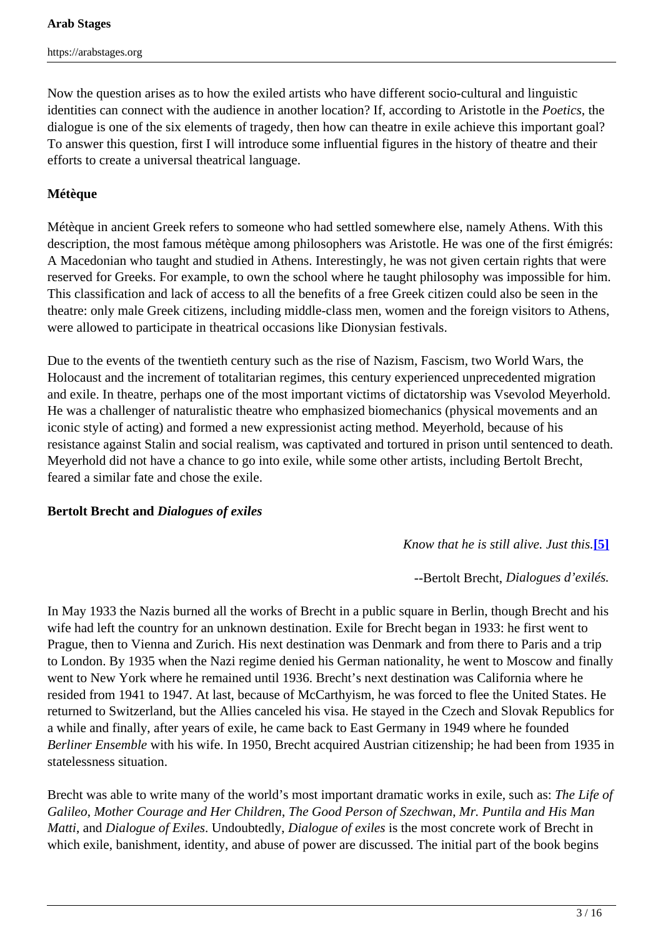Now the question arises as to how the exiled artists who have different socio-cultural and linguistic identities can connect with the audience in another location? If, according to Aristotle in the *Poetics*, the dialogue is one of the six elements of tragedy, then how can theatre in exile achieve this important goal? To answer this question, first I will introduce some influential figures in the history of theatre and their efforts to create a universal theatrical language.

# **Métèque**

Métèque in ancient Greek refers to someone who had settled somewhere else, namely Athens. With this description, the most famous métèque among philosophers was Aristotle. He was one of the first émigrés: A Macedonian who taught and studied in Athens. Interestingly, he was not given certain rights that were reserved for Greeks. For example, to own the school where he taught philosophy was impossible for him. This classification and lack of access to all the benefits of a free Greek citizen could also be seen in the theatre: only male Greek citizens, including middle-class men, women and the foreign visitors to Athens, were allowed to participate in theatrical occasions like Dionysian festivals.

Due to the events of the twentieth century such as the rise of Nazism, Fascism, two World Wars, the Holocaust and the increment of totalitarian regimes, this century experienced unprecedented migration and exile. In theatre, perhaps one of the most important victims of dictatorship was Vsevolod Meyerhold. He was a challenger of naturalistic theatre who emphasized biomechanics (physical movements and an iconic style of acting) and formed a new expressionist acting method. Meyerhold, because of his resistance against Stalin and social realism, was captivated and tortured in prison until sentenced to death. Meyerhold did not have a chance to go into exile, while some other artists, including Bertolt Brecht, feared a similar fate and chose the exile.

# **Bertolt Brecht and** *Dialogues of exiles*

# *Know that he is still alive. Just this.***[5]**

--Bertolt Brecht, *Dialogues d'exilés.*

In May 1933 the Nazis burned all the works of Brecht in a public square in Berlin, though Brecht and his wife had left the country for an unknown destination. Exile for Brecht began in 1933: he first went to Prague, then to Vienna and Zurich. His next destination was Denmark and from there to Paris and a trip to London. By 1935 when the Nazi regime denied his German nationality, he went to Moscow and finally went to New York where he remained until 1936. Brecht's next destination was California where he resided from 1941 to 1947. At last, because of McCarthyism, he was forced to flee the United States. He returned to Switzerland, but the Allies canceled his visa. He stayed in the Czech and Slovak Republics for a while and finally, after years of exile, he came back to East Germany in 1949 where he founded *Berliner Ensemble* with his wife. In 1950, Brecht acquired Austrian citizenship; he had been from 1935 in statelessness situation.

Brecht was able to write many of the world's most important dramatic works in exile, such as: *The Life of Galileo*, *Mother Courage and Her Children*, *The Good Person of Szechwan*, *Mr. Puntila and His Man Matti*, and *Dialogue of Exiles*. Undoubtedly, *Dialogue of exiles* is the most concrete work of Brecht in which exile, banishment, identity, and abuse of power are discussed. The initial part of the book begins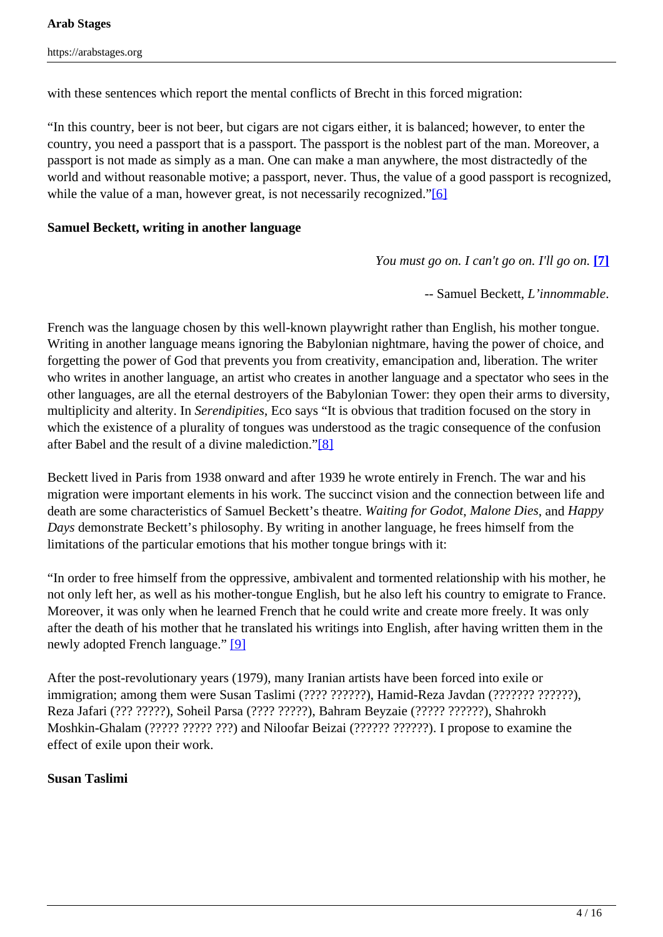with these sentences which report the mental conflicts of Brecht in this forced migration:

"In this country, beer is not beer, but cigars are not cigars either, it is balanced; however, to enter the country, you need a passport that is a passport. The passport is the noblest part of the man. Moreover, a passport is not made as simply as a man. One can make a man anywhere, the most distractedly of the world and without reasonable motive; a passport, never. Thus, the value of a good passport is recognized, while the value of a man, however great, is not necessarily recognized."<sup>[6]</sup>

#### **Samuel Beckett, writing in another language**

*You must go on. I can't go on. I'll go on.* **[7]**

-- Samuel Beckett, *L'innommable*.

French was the language chosen by this well-known playwright rather than English, his mother tongue. Writing in another language means ignoring the Babylonian nightmare, having the power of choice, and forgetting the power of God that prevents you from creativity, emancipation and, liberation. The writer who writes in another language, an artist who creates in another language and a spectator who sees in the other languages, are all the eternal destroyers of the Babylonian Tower: they open their arms to diversity, multiplicity and alterity. In *Serendipities*, Eco says "It is obvious that tradition focused on the story in which the existence of a plurality of tongues was understood as the tragic consequence of the confusion after Babel and the result of a divine malediction."[8]

Beckett lived in Paris from 1938 onward and after 1939 he wrote entirely in French. The war and his migration were important elements in his work. The succinct vision and the connection between life and death are some characteristics of Samuel Beckett's theatre. *Waiting for Godot*, *Malone Dies*, and *Happy Days* demonstrate Beckett's philosophy. By writing in another language, he frees himself from the limitations of the particular emotions that his mother tongue brings with it:

"In order to free himself from the oppressive, ambivalent and tormented relationship with his mother, he not only left her, as well as his mother-tongue English, but he also left his country to emigrate to France. Moreover, it was only when he learned French that he could write and create more freely. It was only after the death of his mother that he translated his writings into English, after having written them in the newly adopted French language." [9]

After the post-revolutionary years (1979), many Iranian artists have been forced into exile or immigration; among them were Susan Taslimi (???? ??????), Hamid-Reza Javdan (??????? ??????), Reza Jafari (??? ?????), Soheil Parsa (???? ?????), Bahram Beyzaie (????? ??????), Shahrokh Moshkin-Ghalam (????? ????? ???) and Niloofar Beizai (?????? ??????). I propose to examine the effect of exile upon their work.

#### **Susan Taslimi**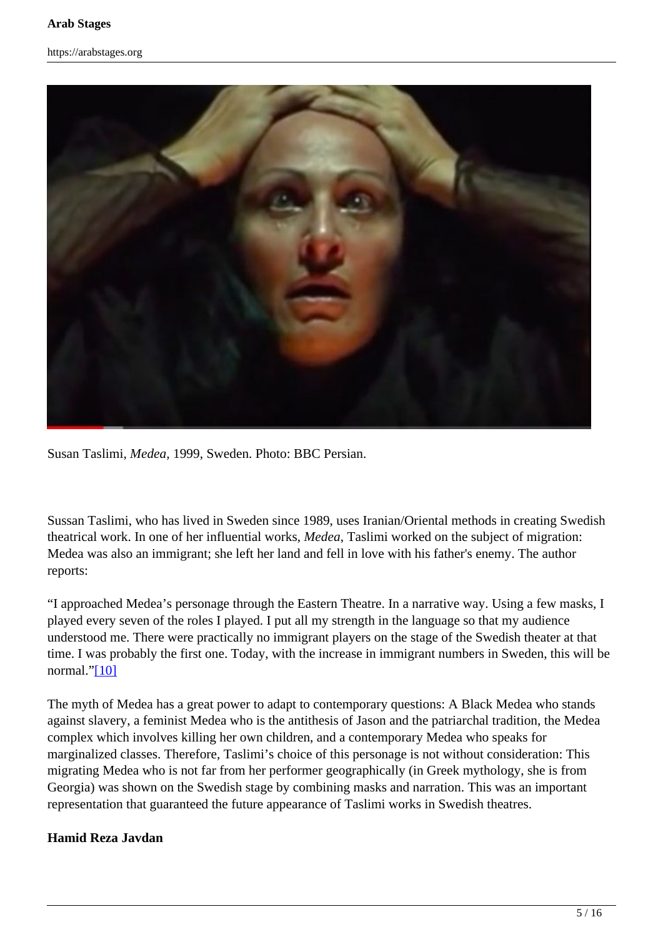![](_page_4_Picture_2.jpeg)

Susan Taslimi, *Medea,* 1999, Sweden. Photo: BBC Persian.

Sussan Taslimi, who has lived in Sweden since 1989, uses Iranian/Oriental methods in creating Swedish theatrical work. In one of her influential works, *Medea*, Taslimi worked on the subject of migration: Medea was also an immigrant; she left her land and fell in love with his father's enemy. The author reports:

"I approached Medea's personage through the Eastern Theatre. In a narrative way. Using a few masks, I played every seven of the roles I played. I put all my strength in the language so that my audience understood me. There were practically no immigrant players on the stage of the Swedish theater at that time. I was probably the first one. Today, with the increase in immigrant numbers in Sweden, this will be normal."[10]

The myth of Medea has a great power to adapt to contemporary questions: A Black Medea who stands against slavery, a feminist Medea who is the antithesis of Jason and the patriarchal tradition, the Medea complex which involves killing her own children, and a contemporary Medea who speaks for marginalized classes. Therefore, Taslimi's choice of this personage is not without consideration: This migrating Medea who is not far from her performer geographically (in Greek mythology, she is from Georgia) was shown on the Swedish stage by combining masks and narration. This was an important representation that guaranteed the future appearance of Taslimi works in Swedish theatres.

# **Hamid Reza Javdan**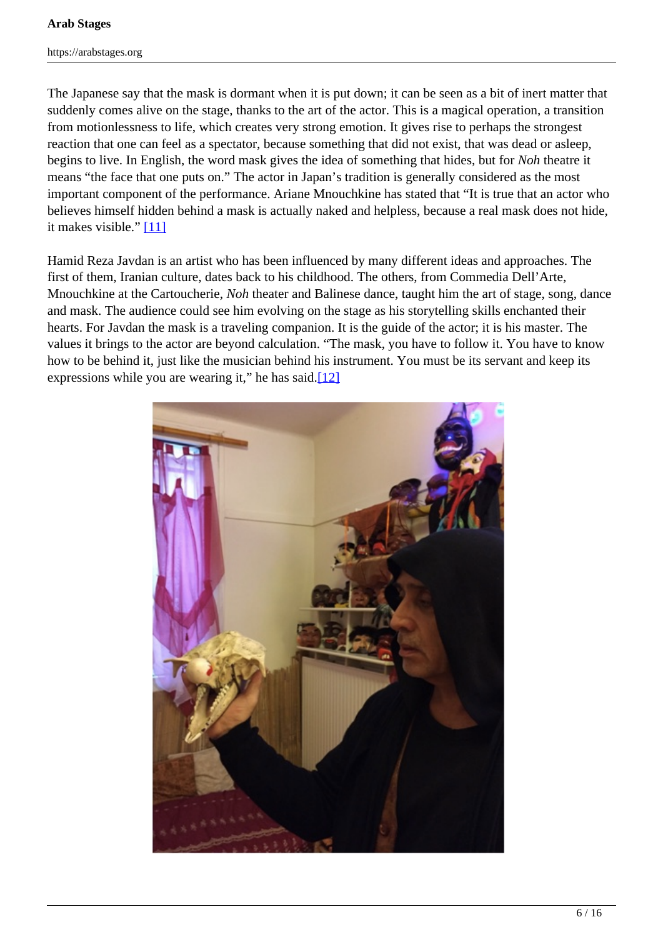The Japanese say that the mask is dormant when it is put down; it can be seen as a bit of inert matter that suddenly comes alive on the stage, thanks to the art of the actor. This is a magical operation, a transition from motionlessness to life, which creates very strong emotion. It gives rise to perhaps the strongest reaction that one can feel as a spectator, because something that did not exist, that was dead or asleep, begins to live. In English, the word mask gives the idea of something that hides, but for *Noh* theatre it means "the face that one puts on." The actor in Japan's tradition is generally considered as the most important component of the performance. Ariane Mnouchkine has stated that "It is true that an actor who believes himself hidden behind a mask is actually naked and helpless, because a real mask does not hide, it makes visible." [11]

Hamid Reza Javdan is an artist who has been influenced by many different ideas and approaches. The first of them, Iranian culture, dates back to his childhood. The others, from Commedia Dell'Arte, Mnouchkine at the Cartoucherie, *Noh* theater and Balinese dance, taught him the art of stage, song, dance and mask. The audience could see him evolving on the stage as his storytelling skills enchanted their hearts. For Javdan the mask is a traveling companion. It is the guide of the actor; it is his master. The values it brings to the actor are beyond calculation. "The mask, you have to follow it. You have to know how to be behind it, just like the musician behind his instrument. You must be its servant and keep its expressions while you are wearing it," he has said. $[12]$ 

![](_page_5_Picture_4.jpeg)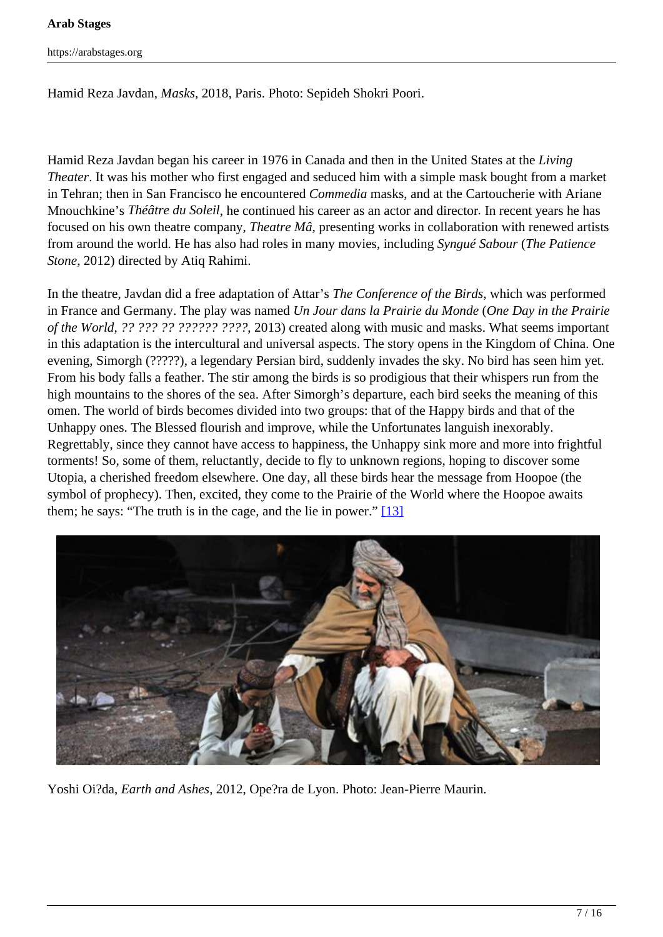#### **Arab Stages**

https://arabstages.org

Hamid Reza Javdan, *Masks,* 2018, Paris. Photo: Sepideh Shokri Poori.

Hamid Reza Javdan began his career in 1976 in Canada and then in the United States at the *Living Theater*. It was his mother who first engaged and seduced him with a simple mask bought from a market in Tehran; then in San Francisco he encountered *Commedia* masks, and at the Cartoucherie with Ariane Mnouchkine's *Théâtre du Soleil*, he continued his career as an actor and director*.* In recent years he has focused on his own theatre company, *Theatre Mâ*, presenting works in collaboration with renewed artists from around the world. He has also had roles in many movies, including *Syngué Sabour* (*The Patience Stone*, 2012) directed by Atiq Rahimi.

In the theatre, Javdan did a free adaptation of Attar's *The Conference of the Birds*, which was performed in France and Germany. The play was named *Un Jour dans la Prairie du Monde* (*One Day in the Prairie of the World*, *?? ??? ?? ?????? ????*, 2013) created along with music and masks. What seems important in this adaptation is the intercultural and universal aspects. The story opens in the Kingdom of China. One evening, Simorgh (?????), a legendary Persian bird, suddenly invades the sky. No bird has seen him yet. From his body falls a feather. The stir among the birds is so prodigious that their whispers run from the high mountains to the shores of the sea. After Simorgh's departure, each bird seeks the meaning of this omen. The world of birds becomes divided into two groups: that of the Happy birds and that of the Unhappy ones. The Blessed flourish and improve, while the Unfortunates languish inexorably. Regrettably, since they cannot have access to happiness, the Unhappy sink more and more into frightful torments! So, some of them, reluctantly, decide to fly to unknown regions, hoping to discover some Utopia, a cherished freedom elsewhere. One day, all these birds hear the message from Hoopoe (the symbol of prophecy). Then, excited, they come to the Prairie of the World where the Hoopoe awaits them; he says: "The truth is in the cage, and the lie in power." [13]

![](_page_6_Picture_5.jpeg)

Yoshi Oi?da, *Earth and Ashes*, 2012, Ope?ra de Lyon. Photo: Jean-Pierre Maurin.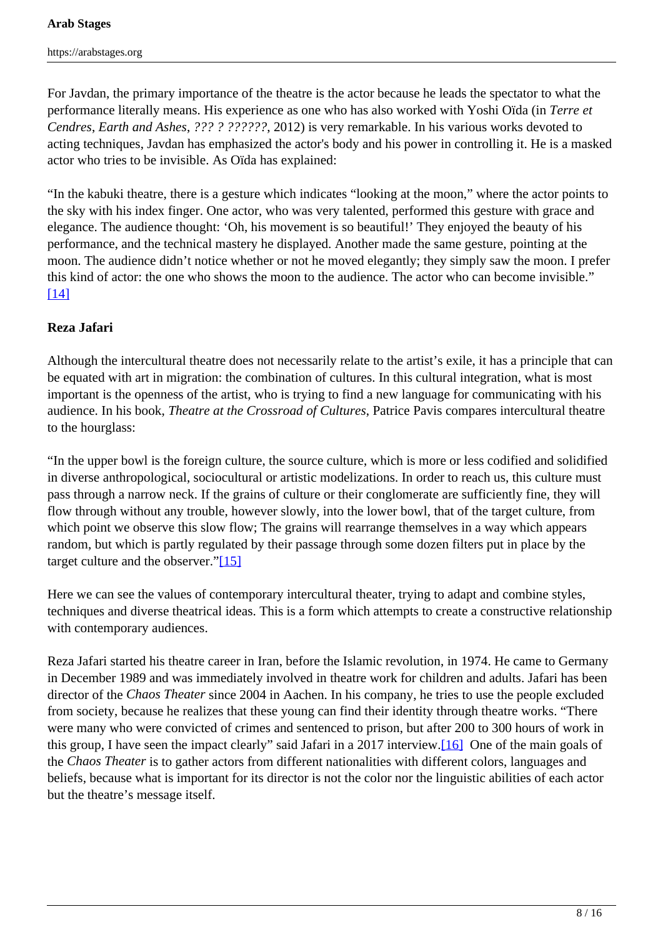For Javdan, the primary importance of the theatre is the actor because he leads the spectator to what the performance literally means. His experience as one who has also worked with Yoshi Oïda (in *Terre et Cendres*, *Earth and Ashes*, *??? ? ??????*, 2012) is very remarkable. In his various works devoted to acting techniques, Javdan has emphasized the actor's body and his power in controlling it. He is a masked actor who tries to be invisible. As Oïda has explained:

"In the kabuki theatre, there is a gesture which indicates "looking at the moon," where the actor points to the sky with his index finger. One actor, who was very talented, performed this gesture with grace and elegance. The audience thought: 'Oh, his movement is so beautiful!' They enjoyed the beauty of his performance, and the technical mastery he displayed. Another made the same gesture, pointing at the moon. The audience didn't notice whether or not he moved elegantly; they simply saw the moon. I prefer this kind of actor: the one who shows the moon to the audience. The actor who can become invisible." [14]

#### **Reza Jafari**

Although the intercultural theatre does not necessarily relate to the artist's exile, it has a principle that can be equated with art in migration: the combination of cultures. In this cultural integration, what is most important is the openness of the artist, who is trying to find a new language for communicating with his audience. In his book, *Theatre at the Crossroad of Cultures*, Patrice Pavis compares intercultural theatre to the hourglass:

"In the upper bowl is the foreign culture, the source culture, which is more or less codified and solidified in diverse anthropological, sociocultural or artistic modelizations. In order to reach us, this culture must pass through a narrow neck. If the grains of culture or their conglomerate are sufficiently fine, they will flow through without any trouble, however slowly, into the lower bowl, that of the target culture, from which point we observe this slow flow; The grains will rearrange themselves in a way which appears random, but which is partly regulated by their passage through some dozen filters put in place by the target culture and the observer."[15]

Here we can see the values of contemporary intercultural theater, trying to adapt and combine styles, techniques and diverse theatrical ideas. This is a form which attempts to create a constructive relationship with contemporary audiences.

Reza Jafari started his theatre career in Iran, before the Islamic revolution, in 1974. He came to Germany in December 1989 and was immediately involved in theatre work for children and adults. Jafari has been director of the *Chaos Theater* since 2004 in Aachen. In his company, he tries to use the people excluded from society, because he realizes that these young can find their identity through theatre works. "There were many who were convicted of crimes and sentenced to prison, but after 200 to 300 hours of work in this group, I have seen the impact clearly" said Jafari in a 2017 interview.[16] One of the main goals of the *Chaos Theater* is to gather actors from different nationalities with different colors, languages and beliefs, because what is important for its director is not the color nor the linguistic abilities of each actor but the theatre's message itself.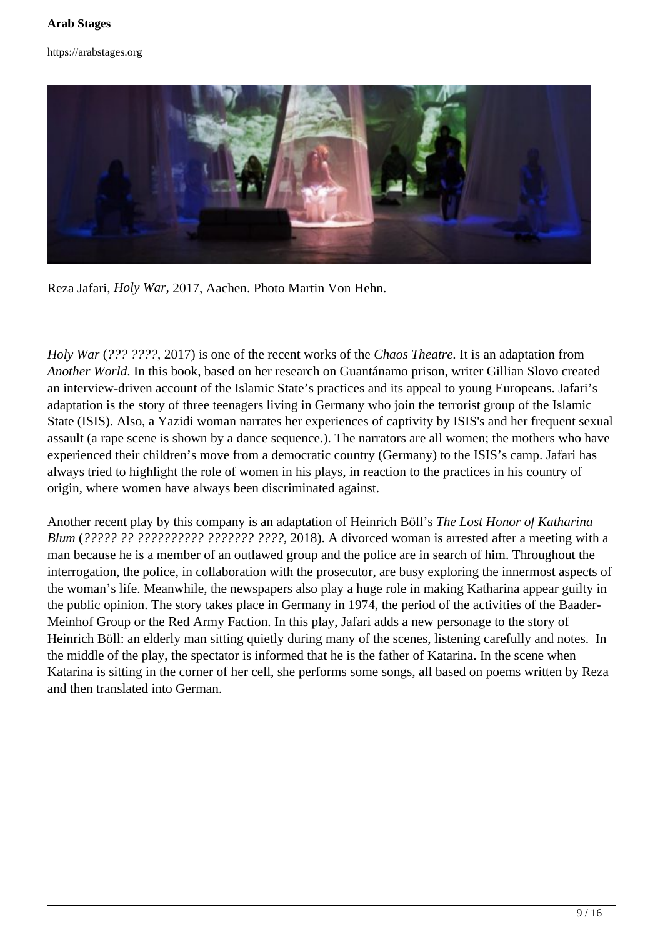![](_page_8_Picture_2.jpeg)

Reza Jafari, *Holy War,* 2017, Aachen. Photo Martin Von Hehn.

*Holy War* (*??? ????*, 2017) is one of the recent works of the *Chaos Theatre.* It is an adaptation from *Another World*. In this book, based on her research on Guantánamo prison, writer Gillian Slovo created an interview-driven account of the Islamic State's practices and its appeal to young Europeans. Jafari's adaptation is the story of three teenagers living in Germany who join the terrorist group of the Islamic State (ISIS). Also, a Yazidi woman narrates her experiences of captivity by ISIS's and her frequent sexual assault (a rape scene is shown by a dance sequence.). The narrators are all women; the mothers who have experienced their children's move from a democratic country (Germany) to the ISIS's camp. Jafari has always tried to highlight the role of women in his plays, in reaction to the practices in his country of origin, where women have always been discriminated against.

Another recent play by this company is an adaptation of Heinrich Böll's *The Lost Honor of Katharina Blum* (*????? ?? ?????????? ??????? ????*, 2018). A divorced woman is arrested after a meeting with a man because he is a member of an outlawed group and the police are in search of him. Throughout the interrogation, the police, in collaboration with the prosecutor, are busy exploring the innermost aspects of the woman's life. Meanwhile, the newspapers also play a huge role in making Katharina appear guilty in the public opinion. The story takes place in Germany in 1974, the period of the activities of the Baader-Meinhof Group or the Red Army Faction. In this play, Jafari adds a new personage to the story of Heinrich Böll: an elderly man sitting quietly during many of the scenes, listening carefully and notes. In the middle of the play, the spectator is informed that he is the father of Katarina. In the scene when Katarina is sitting in the corner of her cell, she performs some songs, all based on poems written by Reza and then translated into German.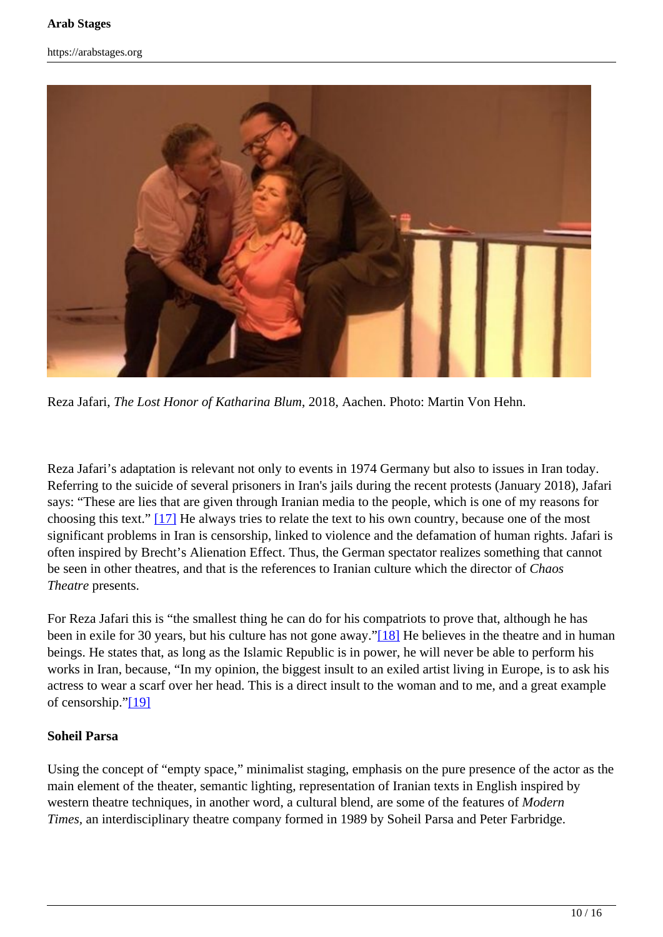![](_page_9_Picture_2.jpeg)

Reza Jafari, *The Lost Honor of Katharina Blum*, 2018, Aachen. Photo: Martin Von Hehn.

Reza Jafari's adaptation is relevant not only to events in 1974 Germany but also to issues in Iran today. Referring to the suicide of several prisoners in Iran's jails during the recent protests (January 2018), Jafari says: "These are lies that are given through Iranian media to the people, which is one of my reasons for choosing this text." [17] He always tries to relate the text to his own country, because one of the most significant problems in Iran is censorship, linked to violence and the defamation of human rights. Jafari is often inspired by Brecht's Alienation Effect. Thus, the German spectator realizes something that cannot be seen in other theatres, and that is the references to Iranian culture which the director of *Chaos Theatre* presents.

For Reza Jafari this is "the smallest thing he can do for his compatriots to prove that, although he has been in exile for 30 years, but his culture has not gone away."[18] He believes in the theatre and in human beings. He states that, as long as the Islamic Republic is in power, he will never be able to perform his works in Iran, because, "In my opinion, the biggest insult to an exiled artist living in Europe, is to ask his actress to wear a scarf over her head. This is a direct insult to the woman and to me, and a great example of censorship."[19]

#### **Soheil Parsa**

Using the concept of "empty space," minimalist staging, emphasis on the pure presence of the actor as the main element of the theater, semantic lighting, representation of Iranian texts in English inspired by western theatre techniques, in another word, a cultural blend, are some of the features of *Modern Times,* an interdisciplinary theatre company formed in 1989 by Soheil Parsa and Peter Farbridge.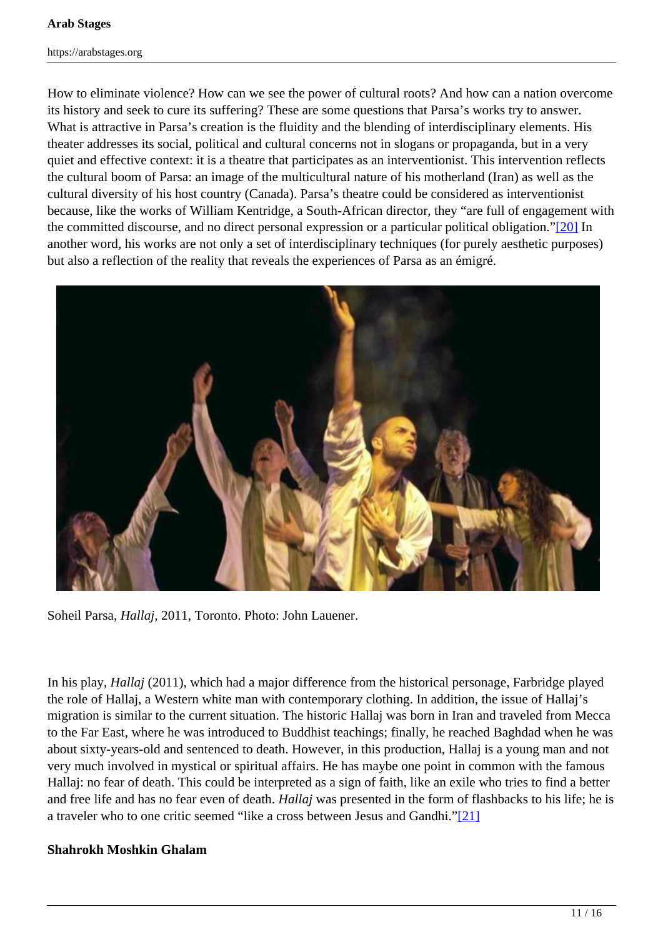How to eliminate violence? How can we see the power of cultural roots? And how can a nation overcome its history and seek to cure its suffering? These are some questions that Parsa's works try to answer. What is attractive in Parsa's creation is the fluidity and the blending of interdisciplinary elements. His theater addresses its social, political and cultural concerns not in slogans or propaganda, but in a very quiet and effective context: it is a theatre that participates as an interventionist. This intervention reflects the cultural boom of Parsa: an image of the multicultural nature of his motherland (Iran) as well as the cultural diversity of his host country (Canada). Parsa's theatre could be considered as interventionist because, like the works of William Kentridge, a South-African director, they "are full of engagement with the committed discourse, and no direct personal expression or a particular political obligation."[20] In another word, his works are not only a set of interdisciplinary techniques (for purely aesthetic purposes) but also a reflection of the reality that reveals the experiences of Parsa as an émigré.

![](_page_10_Picture_3.jpeg)

Soheil Parsa, *Hallaj,* 2011, Toronto. Photo: John Lauener.

In his play, *Hallaj* (2011), which had a major difference from the historical personage, Farbridge played the role of Hallaj, a Western white man with contemporary clothing. In addition, the issue of Hallaj's migration is similar to the current situation. The historic Hallaj was born in Iran and traveled from Mecca to the Far East, where he was introduced to Buddhist teachings; finally, he reached Baghdad when he was about sixty-years-old and sentenced to death. However, in this production, Hallaj is a young man and not very much involved in mystical or spiritual affairs. He has maybe one point in common with the famous Hallaj: no fear of death. This could be interpreted as a sign of faith, like an exile who tries to find a better and free life and has no fear even of death. *Hallaj* was presented in the form of flashbacks to his life; he is a traveler who to one critic seemed "like a cross between Jesus and Gandhi."[21]

# **Shahrokh Moshkin Ghalam**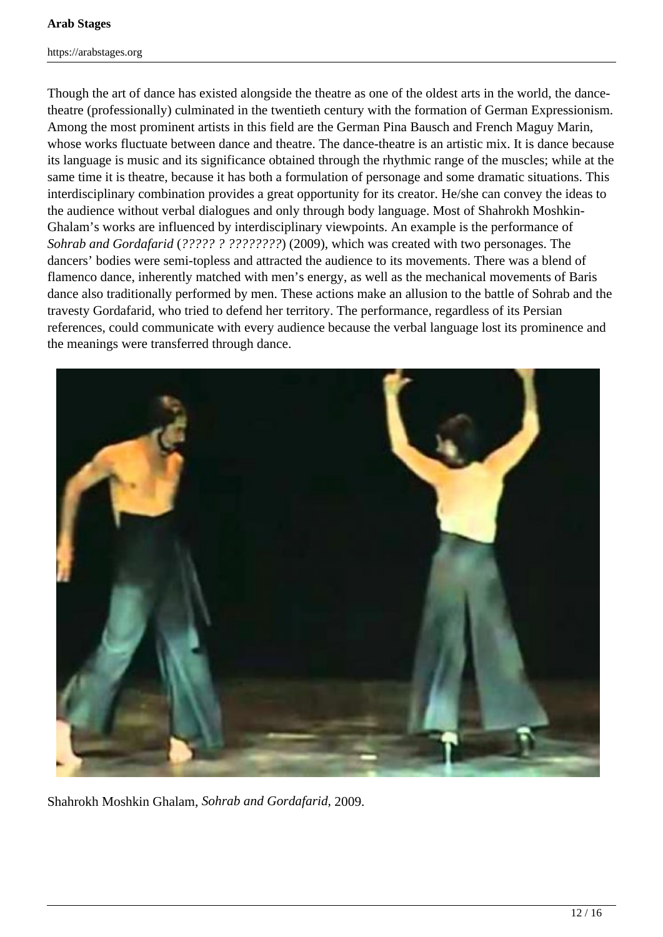Though the art of dance has existed alongside the theatre as one of the oldest arts in the world, the dancetheatre (professionally) culminated in the twentieth century with the formation of German Expressionism. Among the most prominent artists in this field are the German Pina Bausch and French Maguy Marin, whose works fluctuate between dance and theatre. The dance-theatre is an artistic mix. It is dance because its language is music and its significance obtained through the rhythmic range of the muscles; while at the same time it is theatre, because it has both a formulation of personage and some dramatic situations. This interdisciplinary combination provides a great opportunity for its creator. He/she can convey the ideas to the audience without verbal dialogues and only through body language. Most of Shahrokh Moshkin-Ghalam's works are influenced by interdisciplinary viewpoints. An example is the performance of *Sohrab and Gordafarid* (*????? ? ????????*) (2009), which was created with two personages. The dancers' bodies were semi-topless and attracted the audience to its movements. There was a blend of flamenco dance, inherently matched with men's energy, as well as the mechanical movements of Baris dance also traditionally performed by men. These actions make an allusion to the battle of Sohrab and the travesty Gordafarid, who tried to defend her territory. The performance, regardless of its Persian references, could communicate with every audience because the verbal language lost its prominence and the meanings were transferred through dance.

![](_page_11_Picture_3.jpeg)

Shahrokh Moshkin Ghalam, *Sohrab and Gordafarid,* 2009.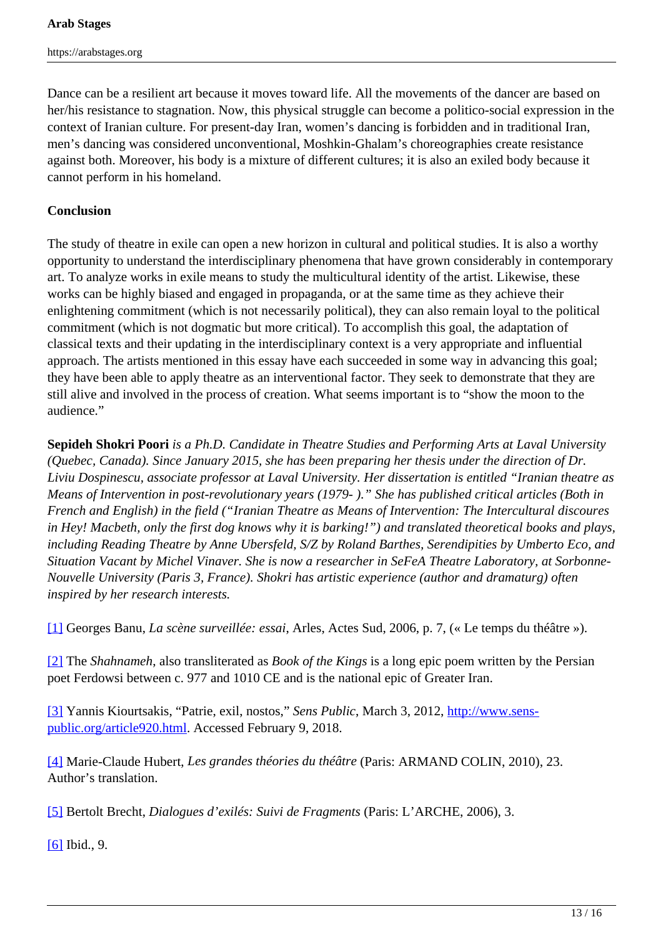Dance can be a resilient art because it moves toward life. All the movements of the dancer are based on her/his resistance to stagnation. Now, this physical struggle can become a politico-social expression in the context of Iranian culture. For present-day Iran, women's dancing is forbidden and in traditional Iran, men's dancing was considered unconventional, Moshkin-Ghalam's choreographies create resistance against both. Moreover, his body is a mixture of different cultures; it is also an exiled body because it cannot perform in his homeland.

#### **Conclusion**

The study of theatre in exile can open a new horizon in cultural and political studies. It is also a worthy opportunity to understand the interdisciplinary phenomena that have grown considerably in contemporary art. To analyze works in exile means to study the multicultural identity of the artist. Likewise, these works can be highly biased and engaged in propaganda, or at the same time as they achieve their enlightening commitment (which is not necessarily political), they can also remain loyal to the political commitment (which is not dogmatic but more critical). To accomplish this goal, the adaptation of classical texts and their updating in the interdisciplinary context is a very appropriate and influential approach. The artists mentioned in this essay have each succeeded in some way in advancing this goal; they have been able to apply theatre as an interventional factor. They seek to demonstrate that they are still alive and involved in the process of creation. What seems important is to "show the moon to the audience."

**Sepideh Shokri Poori** *is a Ph.D. Candidate in Theatre Studies and Performing Arts at Laval University (Quebec, Canada). Since January 2015, she has been preparing her thesis under the direction of Dr. Liviu Dospinescu, associate professor at Laval University. Her dissertation is entitled "Iranian theatre as Means of Intervention in post-revolutionary years (1979- )." She has published critical articles (Both in French and English) in the field ("Iranian Theatre as Means of Intervention: The Intercultural discoures in Hey! Macbeth, only the first dog knows why it is barking!") and translated theoretical books and plays, including Reading Theatre by Anne Ubersfeld, S/Z by Roland Barthes, Serendipities by Umberto Eco, and Situation Vacant by Michel Vinaver. She is now a researcher in SeFeA Theatre Laboratory, at Sorbonne-Nouvelle University (Paris 3, France). Shokri has artistic experience (author and dramaturg) often inspired by her research interests.*

[1] Georges Banu, *La scène surveillée: essai*, Arles, Actes Sud, 2006, p. 7, (« Le temps du théâtre »).

[2] The *Shahnameh*, also transliterated as *Book of the Kings* is a long epic poem written by the Persian poet Ferdowsi between c. 977 and 1010 CE and is the national epic of Greater Iran.

[3] Yannis Kiourtsakis, "Patrie, exil, nostos," *Sens Public*, March 3, 2012, http://www.senspublic.org/article920.html. Accessed February 9, 2018.

[4] Marie-Claude Hubert, *Les grandes théories du théâtre* (Paris: ARMAND COLIN, 2010), 23. Author's translation.

[5] Bertolt Brecht, *Dialogues d'exilés: Suivi de Fragments* (Paris: L'ARCHE, 2006), 3.

[6] Ibid., 9.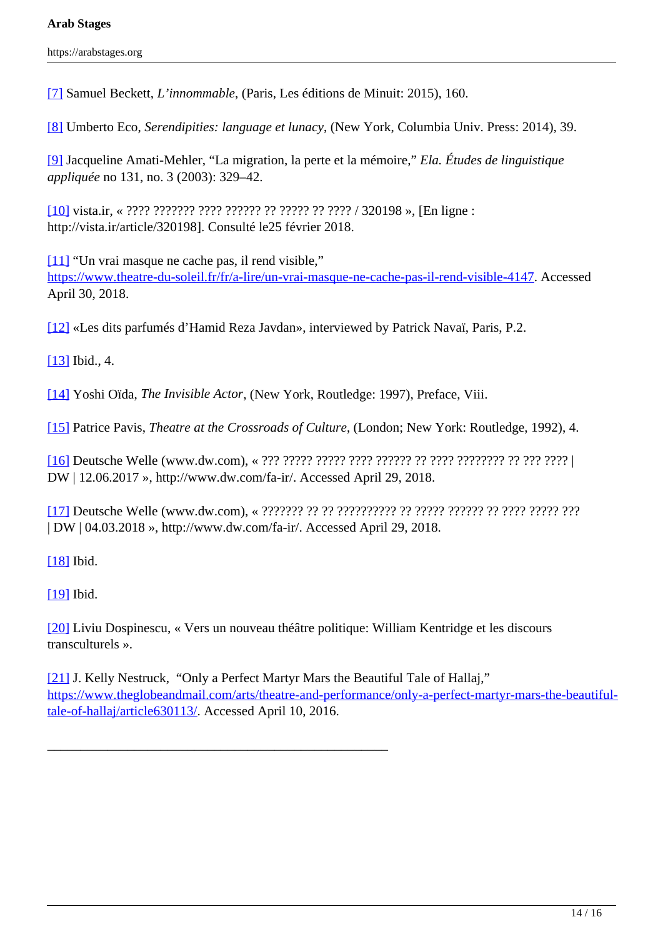[7] Samuel Beckett, *L'innommable*, (Paris, Les éditions de Minuit: 2015), 160.

[8] Umberto Eco, *Serendipities: language et lunacy*, (New York, Columbia Univ. Press: 2014), 39.

[9] Jacqueline Amati-Mehler, "La migration, la perte et la mémoire," *Ela. Études de linguistique appliquée* no 131, no. 3 (2003): 329–42.

[10] vista.ir, « ???? ??????? ???? ?????? ?? ????? ?? ???? / 320198 », [En ligne : http://vista.ir/article/320198]. Consulté le25 février 2018.

[11] "Un vrai masque ne cache pas, il rend visible," https://www.theatre-du-soleil.fr/fr/a-lire/un-vrai-masque-ne-cache-pas-il-rend-visible-4147. Accessed April 30, 2018.

[12] «Les dits parfumés d'Hamid Reza Javdan», interviewed by Patrick Navaï, Paris, P.2.

[13] Ibid., 4.

[14] Yoshi Oïda, *The Invisible Actor*, (New York, Routledge: 1997), Preface, Viii.

[15] Patrice Pavis, *Theatre at the Crossroads of Culture*, (London; New York: Routledge, 1992), 4.

[16] Deutsche Welle (www.dw.com), « ??? ????? ????? ???? ?????? ?? ???? ???????? ?? ??? ???? | DW | 12.06.2017 », http://www.dw.com/fa-ir/. Accessed April 29, 2018.

[17] Deutsche Welle (www.dw.com), « ??????? ?? ?? ?????????? ?? ????? ?????? ?? ???? ????? ??? | DW | 04.03.2018 », http://www.dw.com/fa-ir/. Accessed April 29, 2018.

[18] Ibid.

[19] Ibid.

[20] Liviu Dospinescu, « Vers un nouveau théâtre politique: William Kentridge et les discours transculturels ».

\_\_\_\_\_\_\_\_\_\_\_\_\_\_\_\_\_\_\_\_\_\_\_\_\_\_\_\_\_\_\_\_\_\_\_\_\_\_\_\_\_\_\_\_\_\_\_\_\_\_\_

[21] J. Kelly Nestruck, "Only a Perfect Martyr Mars the Beautiful Tale of Hallaj," https://www.theglobeandmail.com/arts/theatre-and-performance/only-a-perfect-martyr-mars-the-beautifultale-of-hallaj/article630113/. Accessed April 10, 2016.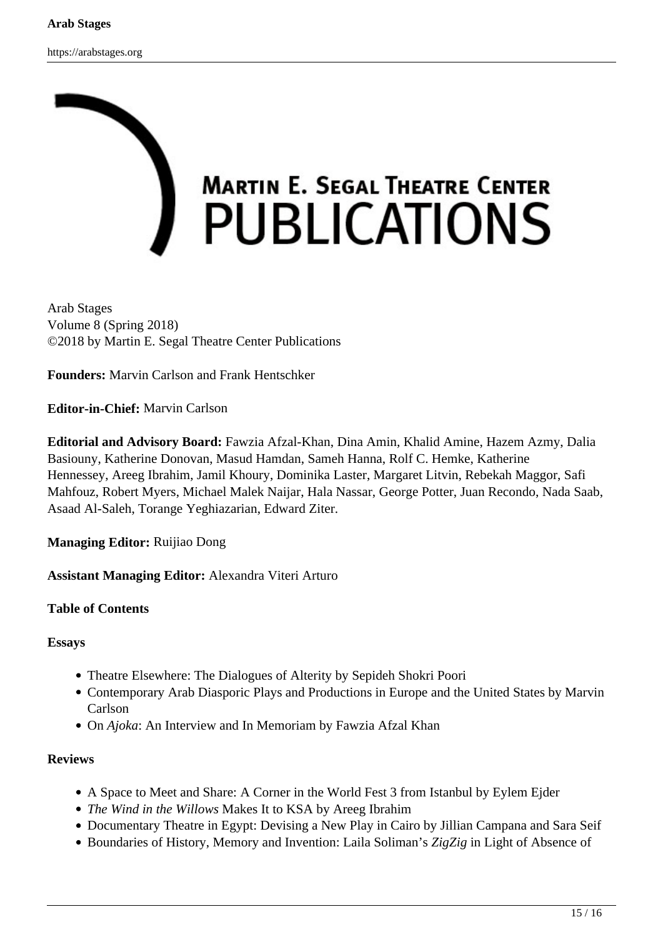![](_page_14_Picture_2.jpeg)

Arab Stages Volume 8 (Spring 2018) ©2018 by Martin E. Segal Theatre Center Publications

**Founders:** Marvin Carlson and Frank Hentschker

**Editor-in-Chief:** Marvin Carlson

**Editorial and Advisory Board:** Fawzia Afzal-Khan, Dina Amin, Khalid Amine, Hazem Azmy, Dalia Basiouny, Katherine Donovan, Masud Hamdan, Sameh Hanna, Rolf C. Hemke, Katherine Hennessey, Areeg Ibrahim, Jamil Khoury, Dominika Laster, Margaret Litvin, Rebekah Maggor, Safi Mahfouz, Robert Myers, Michael Malek Naijar, Hala Nassar, George Potter, Juan Recondo, Nada Saab, Asaad Al-Saleh, Torange Yeghiazarian, Edward Ziter.

**Managing Editor:** Ruijiao Dong

**Assistant Managing Editor:** Alexandra Viteri Arturo

#### **Table of Contents**

#### **Essays**

- Theatre Elsewhere: The Dialogues of Alterity by Sepideh Shokri Poori
- Contemporary Arab Diasporic Plays and Productions in Europe and the United States by Marvin Carlson
- On *Ajoka*: An Interview and In Memoriam by Fawzia Afzal Khan

#### **Reviews**

- A Space to Meet and Share: A Corner in the World Fest 3 from Istanbul by Eylem Ejder
- *The Wind in the Willows* Makes It to KSA by Areeg Ibrahim
- Documentary Theatre in Egypt: Devising a New Play in Cairo by Jillian Campana and Sara Seif
- Boundaries of History, Memory and Invention: Laila Soliman's *ZigZig* in Light of Absence of